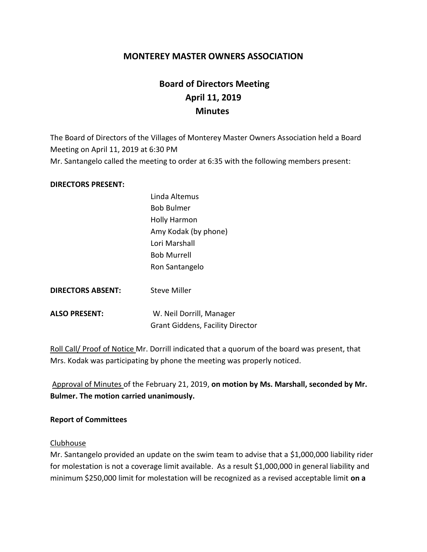## **MONTEREY MASTER OWNERS ASSOCIATION**

# **Board of Directors Meeting April 11, 2019 Minutes**

The Board of Directors of the Villages of Monterey Master Owners Association held a Board Meeting on April 11, 2019 at 6:30 PM Mr. Santangelo called the meeting to order at 6:35 with the following members present:

#### **DIRECTORS PRESENT:**

|                          | <b>Bob Bulmer</b>                       |
|--------------------------|-----------------------------------------|
|                          | <b>Holly Harmon</b>                     |
|                          | Amy Kodak (by phone)                    |
|                          | Lori Marshall                           |
|                          | <b>Bob Murrell</b>                      |
|                          | Ron Santangelo                          |
|                          |                                         |
| <b>DIRECTORS ABSENT:</b> | <b>Steve Miller</b>                     |
|                          |                                         |
| <b>ALSO PRESENT:</b>     | W. Neil Dorrill, Manager                |
|                          | <b>Grant Giddens, Facility Director</b> |
|                          |                                         |

Linda Altemus

Roll Call/ Proof of Notice Mr. Dorrill indicated that a quorum of the board was present, that Mrs. Kodak was participating by phone the meeting was properly noticed.

Approval of Minutes of the February 21, 2019, **on motion by Ms. Marshall, seconded by Mr. Bulmer. The motion carried unanimously.**

#### **Report of Committees**

#### Clubhouse

Mr. Santangelo provided an update on the swim team to advise that a \$1,000,000 liability rider for molestation is not a coverage limit available. As a result \$1,000,000 in general liability and minimum \$250,000 limit for molestation will be recognized as a revised acceptable limit **on a**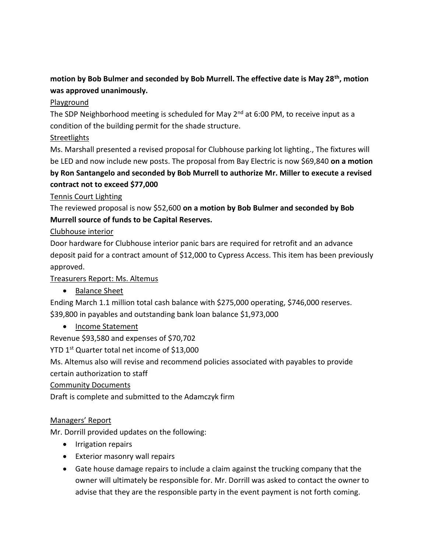# **motion by Bob Bulmer and seconded by Bob Murrell. The effective date is May 28th, motion was approved unanimously.**

#### Playground

The SDP Neighborhood meeting is scheduled for May  $2^{nd}$  at 6:00 PM, to receive input as a condition of the building permit for the shade structure.

#### **Streetlights**

Ms. Marshall presented a revised proposal for Clubhouse parking lot lighting., The fixtures will be LED and now include new posts. The proposal from Bay Electric is now \$69,840 **on a motion** 

# **by Ron Santangelo and seconded by Bob Murrell to authorize Mr. Miller to execute a revised contract not to exceed \$77,000**

## Tennis Court Lighting

The reviewed proposal is now \$52,600 **on a motion by Bob Bulmer and seconded by Bob Murrell source of funds to be Capital Reserves.**

## Clubhouse interior

Door hardware for Clubhouse interior panic bars are required for retrofit and an advance deposit paid for a contract amount of \$12,000 to Cypress Access. This item has been previously approved.

## Treasurers Report: Ms. Altemus

• Balance Sheet

Ending March 1.1 million total cash balance with \$275,000 operating, \$746,000 reserves. \$39,800 in payables and outstanding bank loan balance \$1,973,000

• Income Statement

Revenue \$93,580 and expenses of \$70,702

YTD 1<sup>st</sup> Quarter total net income of \$13,000

Ms. Altemus also will revise and recommend policies associated with payables to provide certain authorization to staff

Community Documents

Draft is complete and submitted to the Adamczyk firm

# Managers' Report

Mr. Dorrill provided updates on the following:

- Irrigation repairs
- Exterior masonry wall repairs
- Gate house damage repairs to include a claim against the trucking company that the owner will ultimately be responsible for. Mr. Dorrill was asked to contact the owner to advise that they are the responsible party in the event payment is not forth coming.